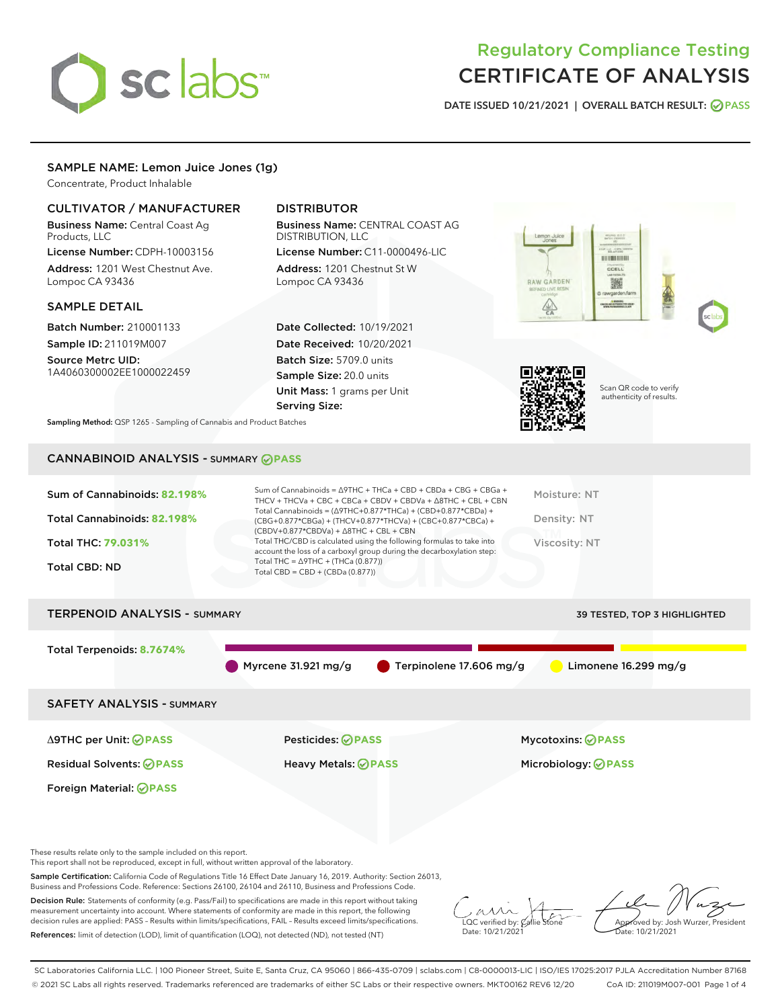# sclabs<sup>\*</sup>

# Regulatory Compliance Testing CERTIFICATE OF ANALYSIS

DATE ISSUED 10/21/2021 | OVERALL BATCH RESULT: @ PASS

#### SAMPLE NAME: Lemon Juice Jones (1g)

Concentrate, Product Inhalable

#### CULTIVATOR / MANUFACTURER

Business Name: Central Coast Ag Products, LLC

License Number: CDPH-10003156 Address: 1201 West Chestnut Ave. Lompoc CA 93436

#### SAMPLE DETAIL

Batch Number: 210001133 Sample ID: 211019M007

Source Metrc UID: 1A4060300002EE1000022459

### DISTRIBUTOR

Business Name: CENTRAL COAST AG DISTRIBUTION, LLC

License Number: C11-0000496-LIC Address: 1201 Chestnut St W Lompoc CA 93436

Date Collected: 10/19/2021 Date Received: 10/20/2021 Batch Size: 5709.0 units Sample Size: 20.0 units Unit Mass: 1 grams per Unit Serving Size:





Scan QR code to verify authenticity of results.

Sampling Method: QSP 1265 - Sampling of Cannabis and Product Batches

# CANNABINOID ANALYSIS - SUMMARY **PASS**

| Total THC/CBD is calculated using the following formulas to take into<br>Viscosity: NT<br><b>Total THC: 79.031%</b><br>account the loss of a carboxyl group during the decarboxylation step:<br>Total THC = $\triangle$ 9THC + (THCa (0.877))<br>Total CBD: ND<br>Total CBD = $CBD + (CBDa (0.877))$ | Sum of Cannabinoids: 82.198%<br>Total Cannabinoids: 82.198% | Sum of Cannabinoids = $\triangle$ 9THC + THCa + CBD + CBDa + CBG + CBGa +<br>THCV + THCVa + CBC + CBCa + CBDV + CBDVa + $\Delta$ 8THC + CBL + CBN<br>Total Cannabinoids = $(\Delta 9THC + 0.877*THCa) + (CBD + 0.877*CBDa) +$<br>(CBG+0.877*CBGa) + (THCV+0.877*THCVa) + (CBC+0.877*CBCa) +<br>$(CBDV+0.877*CBDVa) + \Delta 8THC + CBL + CBN$ | Moisture: NT<br>Density: NT |
|------------------------------------------------------------------------------------------------------------------------------------------------------------------------------------------------------------------------------------------------------------------------------------------------------|-------------------------------------------------------------|-----------------------------------------------------------------------------------------------------------------------------------------------------------------------------------------------------------------------------------------------------------------------------------------------------------------------------------------------|-----------------------------|
|                                                                                                                                                                                                                                                                                                      |                                                             |                                                                                                                                                                                                                                                                                                                                               |                             |
|                                                                                                                                                                                                                                                                                                      |                                                             |                                                                                                                                                                                                                                                                                                                                               |                             |

# TERPENOID ANALYSIS - SUMMARY 39 TESTED, TOP 3 HIGHLIGHTED Total Terpenoids: **8.7674%** Myrcene 31.921 mg/g  $\bullet$  Terpinolene 17.606 mg/g  $\bullet$  Limonene 16.299 mg/g SAFETY ANALYSIS - SUMMARY Δ9THC per Unit: **PASS** Pesticides: **PASS** Mycotoxins: **PASS**

Residual Solvents: **PASS** Heavy Metals: **PASS** Microbiology: **PASS**

These results relate only to the sample included on this report.

Foreign Material: **PASS**

This report shall not be reproduced, except in full, without written approval of the laboratory.

Sample Certification: California Code of Regulations Title 16 Effect Date January 16, 2019. Authority: Section 26013, Business and Professions Code. Reference: Sections 26100, 26104 and 26110, Business and Professions Code.

Decision Rule: Statements of conformity (e.g. Pass/Fail) to specifications are made in this report without taking measurement uncertainty into account. Where statements of conformity are made in this report, the following decision rules are applied: PASS – Results within limits/specifications, FAIL – Results exceed limits/specifications. References: limit of detection (LOD), limit of quantification (LOQ), not detected (ND), not tested (NT)

 $\overline{\text{LOC}}$  verified by:  $\mathcal C$ Date: 10/21/2021

Aved by: Josh Wurzer, President Date: 10/21/2021

SC Laboratories California LLC. | 100 Pioneer Street, Suite E, Santa Cruz, CA 95060 | 866-435-0709 | sclabs.com | C8-0000013-LIC | ISO/IES 17025:2017 PJLA Accreditation Number 87168 © 2021 SC Labs all rights reserved. Trademarks referenced are trademarks of either SC Labs or their respective owners. MKT00162 REV6 12/20 CoA ID: 211019M007-001 Page 1 of 4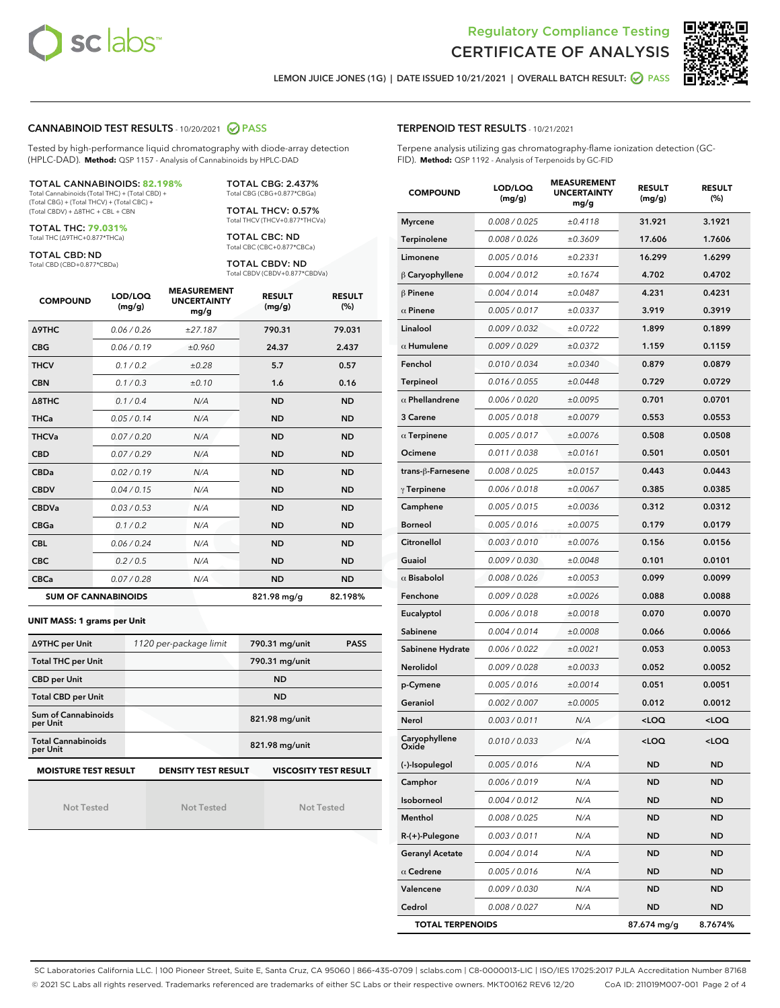



LEMON JUICE JONES (1G) | DATE ISSUED 10/21/2021 | OVERALL BATCH RESULT: @ PASS

#### CANNABINOID TEST RESULTS - 10/20/2021 2 PASS

Tested by high-performance liquid chromatography with diode-array detection (HPLC-DAD). **Method:** QSP 1157 - Analysis of Cannabinoids by HPLC-DAD

#### TOTAL CANNABINOIDS: **82.198%**

Total Cannabinoids (Total THC) + (Total CBD) + (Total CBG) + (Total THCV) + (Total CBC) + (Total CBDV) + ∆8THC + CBL + CBN

TOTAL THC: **79.031%** Total THC (∆9THC+0.877\*THCa)

TOTAL CBD: ND

Total CBD (CBD+0.877\*CBDa)

TOTAL CBG: 2.437% Total CBG (CBG+0.877\*CBGa)

TOTAL THCV: 0.57% Total THCV (THCV+0.877\*THCVa)

TOTAL CBC: ND Total CBC (CBC+0.877\*CBCa)

TOTAL CBDV: ND Total CBDV (CBDV+0.877\*CBDVa)

| <b>COMPOUND</b>            | LOD/LOQ<br>(mg/g) | <b>MEASUREMENT</b><br><b>UNCERTAINTY</b><br>mg/g | <b>RESULT</b><br>(mg/g) | <b>RESULT</b><br>(%) |
|----------------------------|-------------------|--------------------------------------------------|-------------------------|----------------------|
| <b>A9THC</b>               | 0.06 / 0.26       | ±27.187                                          | 790.31                  | 79.031               |
| <b>CBG</b>                 | 0.06/0.19         | ±0.960                                           | 24.37                   | 2.437                |
| <b>THCV</b>                | 0.1/0.2           | ±0.28                                            | 5.7                     | 0.57                 |
| <b>CBN</b>                 | 0.1/0.3           | ±0.10                                            | 1.6                     | 0.16                 |
| $\triangle$ 8THC           | 0.1/0.4           | N/A                                              | <b>ND</b>               | <b>ND</b>            |
| <b>THCa</b>                | 0.05/0.14         | N/A                                              | <b>ND</b>               | <b>ND</b>            |
| <b>THCVa</b>               | 0.07/0.20         | N/A                                              | <b>ND</b>               | <b>ND</b>            |
| <b>CBD</b>                 | 0.07/0.29         | N/A                                              | <b>ND</b>               | <b>ND</b>            |
| <b>CBDa</b>                | 0.02/0.19         | N/A                                              | <b>ND</b>               | <b>ND</b>            |
| <b>CBDV</b>                | 0.04 / 0.15       | N/A                                              | <b>ND</b>               | <b>ND</b>            |
| <b>CBDVa</b>               | 0.03/0.53         | N/A                                              | <b>ND</b>               | <b>ND</b>            |
| <b>CBGa</b>                | 0.1/0.2           | N/A                                              | <b>ND</b>               | <b>ND</b>            |
| <b>CBL</b>                 | 0.06 / 0.24       | N/A                                              | <b>ND</b>               | <b>ND</b>            |
| <b>CBC</b>                 | 0.2 / 0.5         | N/A                                              | <b>ND</b>               | <b>ND</b>            |
| <b>CBCa</b>                | 0.07/0.28         | N/A                                              | <b>ND</b>               | <b>ND</b>            |
| <b>SUM OF CANNABINOIDS</b> |                   |                                                  | 821.98 mg/g             | 82.198%              |

#### **UNIT MASS: 1 grams per Unit**

| ∆9THC per Unit                        | 1120 per-package limit     | 790.31 mg/unit<br><b>PASS</b> |
|---------------------------------------|----------------------------|-------------------------------|
| <b>Total THC per Unit</b>             |                            | 790.31 mg/unit                |
| <b>CBD per Unit</b>                   |                            | <b>ND</b>                     |
| <b>Total CBD per Unit</b>             |                            | <b>ND</b>                     |
| Sum of Cannabinoids<br>per Unit       |                            | 821.98 mg/unit                |
| <b>Total Cannabinoids</b><br>per Unit |                            | 821.98 mg/unit                |
| <b>MOISTURE TEST RESULT</b>           | <b>DENSITY TEST RESULT</b> | <b>VISCOSITY TEST RESULT</b>  |

Not Tested

Not Tested

Not Tested

#### TERPENOID TEST RESULTS - 10/21/2021

Terpene analysis utilizing gas chromatography-flame ionization detection (GC-FID). **Method:** QSP 1192 - Analysis of Terpenoids by GC-FID

| <b>COMPOUND</b>         | LOD/LOQ<br>(mg/g) | <b>MEASUREMENT</b><br><b>UNCERTAINTY</b><br>mg/g | <b>RESULT</b><br>(mg/g)                         | <b>RESULT</b><br>(%) |
|-------------------------|-------------------|--------------------------------------------------|-------------------------------------------------|----------------------|
| <b>Myrcene</b>          | 0.008 / 0.025     | ±0.4118                                          | 31.921                                          | 3.1921               |
| Terpinolene             | 0.008 / 0.026     | ±0.3609                                          | 17.606                                          | 1.7606               |
| Limonene                | 0.005 / 0.016     | ±0.2331                                          | 16.299                                          | 1.6299               |
| $\beta$ Caryophyllene   | 0.004 / 0.012     | ±0.1674                                          | 4.702                                           | 0.4702               |
| $\beta$ Pinene          | 0.004 / 0.014     | ±0.0487                                          | 4.231                                           | 0.4231               |
| $\alpha$ Pinene         | 0.005 / 0.017     | ±0.0337                                          | 3.919                                           | 0.3919               |
| Linalool                | 0.009 / 0.032     | ±0.0722                                          | 1.899                                           | 0.1899               |
| $\alpha$ Humulene       | 0.009 / 0.029     | ±0.0372                                          | 1.159                                           | 0.1159               |
| Fenchol                 | 0.010 / 0.034     | ±0.0340                                          | 0.879                                           | 0.0879               |
| <b>Terpineol</b>        | 0.016 / 0.055     | ±0.0448                                          | 0.729                                           | 0.0729               |
| $\alpha$ Phellandrene   | 0.006 / 0.020     | ±0.0095                                          | 0.701                                           | 0.0701               |
| 3 Carene                | 0.005 / 0.018     | ±0.0079                                          | 0.553                                           | 0.0553               |
| $\alpha$ Terpinene      | 0.005 / 0.017     | ±0.0076                                          | 0.508                                           | 0.0508               |
| Ocimene                 | 0.011 / 0.038     | ±0.0161                                          | 0.501                                           | 0.0501               |
| trans-ß-Farnesene       | 0.008 / 0.025     | ±0.0157                                          | 0.443                                           | 0.0443               |
| $\gamma$ Terpinene      | 0.006 / 0.018     | ±0.0067                                          | 0.385                                           | 0.0385               |
| Camphene                | 0.005 / 0.015     | ±0.0036                                          | 0.312                                           | 0.0312               |
| <b>Borneol</b>          | 0.005 / 0.016     | ±0.0075                                          | 0.179                                           | 0.0179               |
| Citronellol             | 0.003 / 0.010     | ±0.0076                                          | 0.156                                           | 0.0156               |
| Guaiol                  | 0.009 / 0.030     | ±0.0048                                          | 0.101                                           | 0.0101               |
| $\alpha$ Bisabolol      | 0.008 / 0.026     | ±0.0053                                          | 0.099                                           | 0.0099               |
| Fenchone                | 0.009 / 0.028     | ±0.0026                                          | 0.088                                           | 0.0088               |
| Eucalyptol              | 0.006 / 0.018     | ±0.0018                                          | 0.070                                           | 0.0070               |
| Sabinene                | 0.004 / 0.014     | ±0.0008                                          | 0.066                                           | 0.0066               |
| Sabinene Hydrate        | 0.006 / 0.022     | ±0.0021                                          | 0.053                                           | 0.0053               |
| Nerolidol               | 0.009 / 0.028     | ±0.0033                                          | 0.052                                           | 0.0052               |
| p-Cymene                | 0.005 / 0.016     | ±0.0014                                          | 0.051                                           | 0.0051               |
| Geraniol                | 0.002 / 0.007     | ±0.0005                                          | 0.012                                           | 0.0012               |
| Nerol                   | 0.003 / 0.011     | N/A                                              | <loq< th=""><th><loq< th=""></loq<></th></loq<> | <loq< th=""></loq<>  |
| Caryophyllene           | 0.010 / 0.033     | N/A                                              | $<$ LOQ                                         | <loq< th=""></loq<>  |
| (-)-Isopulegol          | 0.005 / 0.016     | N/A                                              | ND                                              | <b>ND</b>            |
| Camphor                 | 0.006 / 0.019     | N/A                                              | ND                                              | ND                   |
| Isoborneol              | 0.004 / 0.012     | N/A                                              | ND                                              | ND                   |
| Menthol                 | 0.008 / 0.025     | N/A                                              | ND                                              | ND                   |
| $R-(+)$ -Pulegone       | 0.003 / 0.011     | N/A                                              | ND                                              | ND                   |
| <b>Geranyl Acetate</b>  | 0.004 / 0.014     | N/A                                              | ND                                              | ND                   |
| $\alpha$ Cedrene        | 0.005 / 0.016     | N/A                                              | ND                                              | ND                   |
| Valencene               | 0.009 / 0.030     | N/A                                              | ND                                              | ND                   |
| Cedrol                  | 0.008 / 0.027     | N/A                                              | ND                                              | ND                   |
| <b>TOTAL TERPENOIDS</b> |                   |                                                  | 87.674 mg/g                                     | 8.7674%              |

SC Laboratories California LLC. | 100 Pioneer Street, Suite E, Santa Cruz, CA 95060 | 866-435-0709 | sclabs.com | C8-0000013-LIC | ISO/IES 17025:2017 PJLA Accreditation Number 87168 © 2021 SC Labs all rights reserved. Trademarks referenced are trademarks of either SC Labs or their respective owners. MKT00162 REV6 12/20 CoA ID: 211019M007-001 Page 2 of 4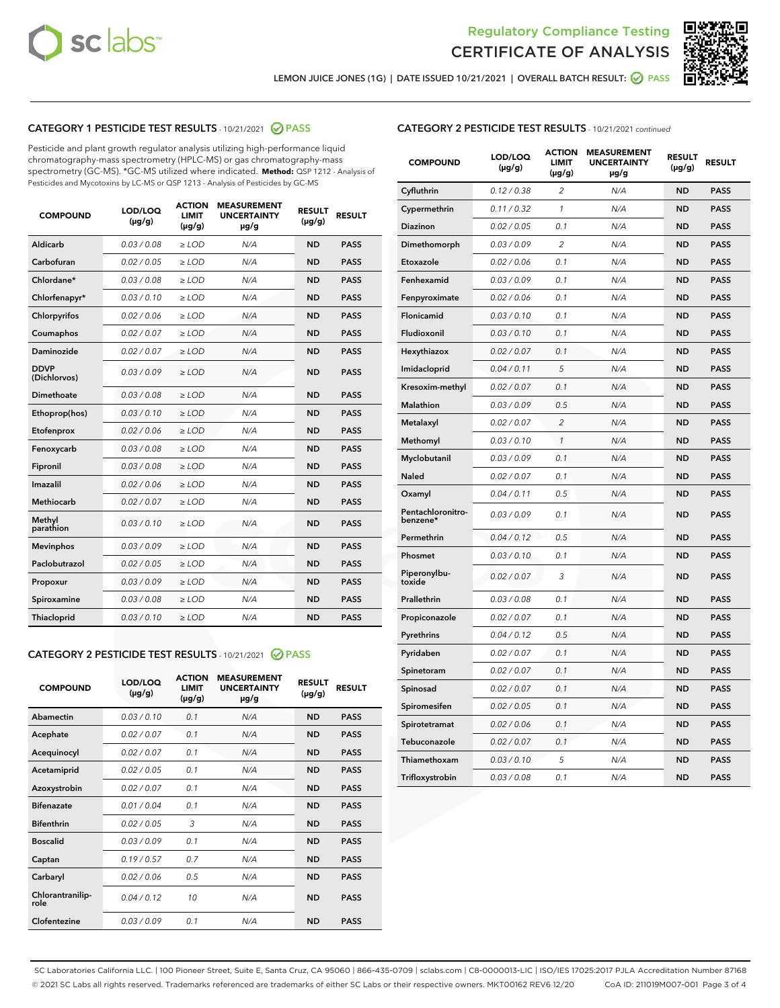



LEMON JUICE JONES (1G) | DATE ISSUED 10/21/2021 | OVERALL BATCH RESULT: @ PASS

## CATEGORY 1 PESTICIDE TEST RESULTS - 10/21/2021 2 PASS

Pesticide and plant growth regulator analysis utilizing high-performance liquid chromatography-mass spectrometry (HPLC-MS) or gas chromatography-mass spectrometry (GC-MS). \*GC-MS utilized where indicated. **Method:** QSP 1212 - Analysis of Pesticides and Mycotoxins by LC-MS or QSP 1213 - Analysis of Pesticides by GC-MS

| <b>COMPOUND</b>             | LOD/LOQ<br>$(\mu g/g)$ | <b>ACTION</b><br><b>LIMIT</b><br>$(\mu g/g)$ | <b>MEASUREMENT</b><br><b>UNCERTAINTY</b><br>µg/g | <b>RESULT</b><br>$(\mu g/g)$ | <b>RESULT</b> |
|-----------------------------|------------------------|----------------------------------------------|--------------------------------------------------|------------------------------|---------------|
| Aldicarb                    | 0.03 / 0.08            | $\geq$ LOD                                   | N/A                                              | <b>ND</b>                    | <b>PASS</b>   |
| Carbofuran                  | 0.02/0.05              | $\geq$ LOD                                   | N/A                                              | <b>ND</b>                    | <b>PASS</b>   |
| Chlordane*                  | 0.03 / 0.08            | $\ge$ LOD                                    | N/A                                              | <b>ND</b>                    | <b>PASS</b>   |
| Chlorfenapyr*               | 0.03/0.10              | $\ge$ LOD                                    | N/A                                              | <b>ND</b>                    | <b>PASS</b>   |
| Chlorpyrifos                | 0.02 / 0.06            | $\ge$ LOD                                    | N/A                                              | <b>ND</b>                    | <b>PASS</b>   |
| Coumaphos                   | 0.02 / 0.07            | $\ge$ LOD                                    | N/A                                              | <b>ND</b>                    | <b>PASS</b>   |
| Daminozide                  | 0.02 / 0.07            | $\ge$ LOD                                    | N/A                                              | <b>ND</b>                    | <b>PASS</b>   |
| <b>DDVP</b><br>(Dichlorvos) | 0.03/0.09              | $\ge$ LOD                                    | N/A                                              | <b>ND</b>                    | <b>PASS</b>   |
| Dimethoate                  | 0.03 / 0.08            | $\ge$ LOD                                    | N/A                                              | <b>ND</b>                    | <b>PASS</b>   |
| Ethoprop(hos)               | 0.03/0.10              | $\ge$ LOD                                    | N/A                                              | <b>ND</b>                    | <b>PASS</b>   |
| Etofenprox                  | 0.02 / 0.06            | $\ge$ LOD                                    | N/A                                              | <b>ND</b>                    | <b>PASS</b>   |
| Fenoxycarb                  | 0.03/0.08              | $\ge$ LOD                                    | N/A                                              | <b>ND</b>                    | <b>PASS</b>   |
| Fipronil                    | 0.03 / 0.08            | $\ge$ LOD                                    | N/A                                              | <b>ND</b>                    | <b>PASS</b>   |
| Imazalil                    | 0.02 / 0.06            | $\ge$ LOD                                    | N/A                                              | <b>ND</b>                    | <b>PASS</b>   |
| <b>Methiocarb</b>           | 0.02 / 0.07            | $\ge$ LOD                                    | N/A                                              | <b>ND</b>                    | <b>PASS</b>   |
| Methyl<br>parathion         | 0.03/0.10              | $\ge$ LOD                                    | N/A                                              | <b>ND</b>                    | <b>PASS</b>   |
| <b>Mevinphos</b>            | 0.03/0.09              | $\ge$ LOD                                    | N/A                                              | <b>ND</b>                    | <b>PASS</b>   |
| Paclobutrazol               | 0.02 / 0.05            | $\ge$ LOD                                    | N/A                                              | <b>ND</b>                    | <b>PASS</b>   |
| Propoxur                    | 0.03/0.09              | $\ge$ LOD                                    | N/A                                              | <b>ND</b>                    | <b>PASS</b>   |
| Spiroxamine                 | 0.03 / 0.08            | $\ge$ LOD                                    | N/A                                              | <b>ND</b>                    | <b>PASS</b>   |
| <b>Thiacloprid</b>          | 0.03/0.10              | $\ge$ LOD                                    | N/A                                              | <b>ND</b>                    | <b>PASS</b>   |
|                             |                        |                                              |                                                  |                              |               |

## CATEGORY 2 PESTICIDE TEST RESULTS - 10/21/2021 @ PASS

| <b>COMPOUND</b>          | LOD/LOO<br>$(\mu g/g)$ | <b>ACTION</b><br>LIMIT<br>$(\mu g/g)$ | <b>MEASUREMENT</b><br><b>UNCERTAINTY</b><br>$\mu$ g/g | <b>RESULT</b><br>$(\mu g/g)$ | <b>RESULT</b> |
|--------------------------|------------------------|---------------------------------------|-------------------------------------------------------|------------------------------|---------------|
| Abamectin                | 0.03/0.10              | 0.1                                   | N/A                                                   | <b>ND</b>                    | <b>PASS</b>   |
| Acephate                 | 0.02/0.07              | 0.1                                   | N/A                                                   | <b>ND</b>                    | <b>PASS</b>   |
| Acequinocyl              | 0.02/0.07              | 0.1                                   | N/A                                                   | <b>ND</b>                    | <b>PASS</b>   |
| Acetamiprid              | 0.02/0.05              | 0.1                                   | N/A                                                   | <b>ND</b>                    | <b>PASS</b>   |
| Azoxystrobin             | 0.02/0.07              | 0.1                                   | N/A                                                   | <b>ND</b>                    | <b>PASS</b>   |
| <b>Bifenazate</b>        | 0.01/0.04              | 0.1                                   | N/A                                                   | <b>ND</b>                    | <b>PASS</b>   |
| <b>Bifenthrin</b>        | 0.02 / 0.05            | 3                                     | N/A                                                   | <b>ND</b>                    | <b>PASS</b>   |
| <b>Boscalid</b>          | 0.03/0.09              | 0.1                                   | N/A                                                   | <b>ND</b>                    | <b>PASS</b>   |
| Captan                   | 0.19/0.57              | 0.7                                   | N/A                                                   | <b>ND</b>                    | <b>PASS</b>   |
| Carbaryl                 | 0.02/0.06              | 0.5                                   | N/A                                                   | <b>ND</b>                    | <b>PASS</b>   |
| Chlorantranilip-<br>role | 0.04/0.12              | 10                                    | N/A                                                   | <b>ND</b>                    | <b>PASS</b>   |
| Clofentezine             | 0.03/0.09              | 0.1                                   | N/A                                                   | <b>ND</b>                    | <b>PASS</b>   |

| <b>CATEGORY 2 PESTICIDE TEST RESULTS</b> - 10/21/2021 continued |
|-----------------------------------------------------------------|
|-----------------------------------------------------------------|

| <b>COMPOUND</b>               | LOD/LOQ<br>(µg/g) | <b>ACTION</b><br>LIMIT<br>(µg/g) | <b>MEASUREMENT</b><br><b>UNCERTAINTY</b><br>µg/g | <b>RESULT</b><br>(µg/g) | <b>RESULT</b> |
|-------------------------------|-------------------|----------------------------------|--------------------------------------------------|-------------------------|---------------|
| Cyfluthrin                    | 0.12 / 0.38       | $\overline{c}$                   | N/A                                              | ND                      | <b>PASS</b>   |
| Cypermethrin                  | 0.11 / 0.32       | 1                                | N/A                                              | <b>ND</b>               | <b>PASS</b>   |
| Diazinon                      | 0.02 / 0.05       | 0.1                              | N/A                                              | ND                      | <b>PASS</b>   |
| Dimethomorph                  | 0.03 / 0.09       | $\overline{2}$                   | N/A                                              | ND                      | <b>PASS</b>   |
| Etoxazole                     | 0.02 / 0.06       | 0.1                              | N/A                                              | <b>ND</b>               | <b>PASS</b>   |
| Fenhexamid                    | 0.03 / 0.09       | 0.1                              | N/A                                              | ND                      | <b>PASS</b>   |
| Fenpyroximate                 | 0.02 / 0.06       | 0.1                              | N/A                                              | <b>ND</b>               | <b>PASS</b>   |
| Flonicamid                    | 0.03 / 0.10       | 0.1                              | N/A                                              | <b>ND</b>               | <b>PASS</b>   |
| Fludioxonil                   | 0.03 / 0.10       | 0.1                              | N/A                                              | ND                      | <b>PASS</b>   |
| Hexythiazox                   | 0.02 / 0.07       | 0.1                              | N/A                                              | ND                      | <b>PASS</b>   |
| Imidacloprid                  | 0.04 / 0.11       | 5                                | N/A                                              | <b>ND</b>               | <b>PASS</b>   |
| Kresoxim-methyl               | 0.02 / 0.07       | 0.1                              | N/A                                              | ND                      | <b>PASS</b>   |
| Malathion                     | 0.03 / 0.09       | 0.5                              | N/A                                              | ND                      | <b>PASS</b>   |
| Metalaxyl                     | 0.02 / 0.07       | $\overline{2}$                   | N/A                                              | <b>ND</b>               | <b>PASS</b>   |
| Methomyl                      | 0.03 / 0.10       | 1                                | N/A                                              | <b>ND</b>               | <b>PASS</b>   |
| Myclobutanil                  | 0.03 / 0.09       | 0.1                              | N/A                                              | ND                      | <b>PASS</b>   |
| <b>Naled</b>                  | 0.02 / 0.07       | 0.1                              | N/A                                              | <b>ND</b>               | <b>PASS</b>   |
| Oxamyl                        | 0.04 / 0.11       | 0.5                              | N/A                                              | ND                      | <b>PASS</b>   |
| Pentachloronitro-<br>benzene* | 0.03/0.09         | 0.1                              | N/A                                              | ND                      | <b>PASS</b>   |
| Permethrin                    | 0.04 / 0.12       | 0.5                              | N/A                                              | ND                      | <b>PASS</b>   |
| Phosmet                       | 0.03 / 0.10       | 0.1                              | N/A                                              | <b>ND</b>               | <b>PASS</b>   |
| Piperonylbu-<br>toxide        | 0.02 / 0.07       | 3                                | N/A                                              | ND                      | <b>PASS</b>   |
| Prallethrin                   | 0.03 / 0.08       | 0.1                              | N/A                                              | <b>ND</b>               | <b>PASS</b>   |
| Propiconazole                 | 0.02 / 0.07       | 0.1                              | N/A                                              | ND                      | <b>PASS</b>   |
| Pyrethrins                    | 0.04 / 0.12       | 0.5                              | N/A                                              | ND                      | <b>PASS</b>   |
| Pyridaben                     | 0.02 / 0.07       | 0.1                              | N/A                                              | <b>ND</b>               | <b>PASS</b>   |
| Spinetoram                    | 0.02 / 0.07       | 0.1                              | N/A                                              | ND                      | <b>PASS</b>   |
| Spinosad                      | 0.02 / 0.07       | 0.1                              | N/A                                              | ND                      | <b>PASS</b>   |
| Spiromesifen                  | 0.02 / 0.05       | 0.1                              | N/A                                              | <b>ND</b>               | <b>PASS</b>   |
| Spirotetramat                 | 0.02 / 0.06       | 0.1                              | N/A                                              | <b>ND</b>               | <b>PASS</b>   |
| Tebuconazole                  | 0.02 / 0.07       | 0.1                              | N/A                                              | <b>ND</b>               | <b>PASS</b>   |
| Thiamethoxam                  | 0.03 / 0.10       | 5                                | N/A                                              | ND                      | <b>PASS</b>   |
| Trifloxystrobin               | 0.03 / 0.08       | 0.1                              | N/A                                              | ND                      | <b>PASS</b>   |

SC Laboratories California LLC. | 100 Pioneer Street, Suite E, Santa Cruz, CA 95060 | 866-435-0709 | sclabs.com | C8-0000013-LIC | ISO/IES 17025:2017 PJLA Accreditation Number 87168 © 2021 SC Labs all rights reserved. Trademarks referenced are trademarks of either SC Labs or their respective owners. MKT00162 REV6 12/20 CoA ID: 211019M007-001 Page 3 of 4